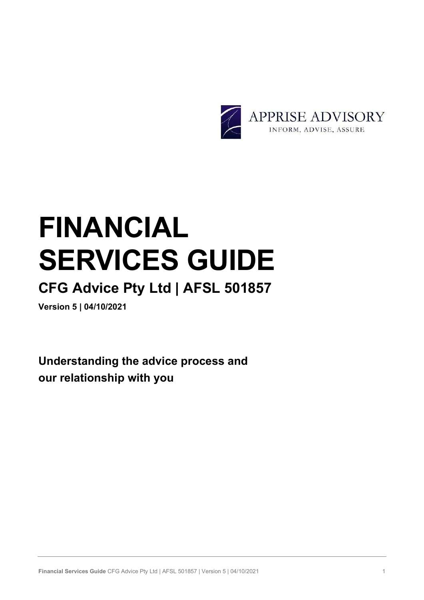

# FINANCIAL SERVICES GUIDE

# CFG Advice Pty Ltd | AFSL 501857

Version 5 | 04/10/2021

Understanding the advice process and our relationship with you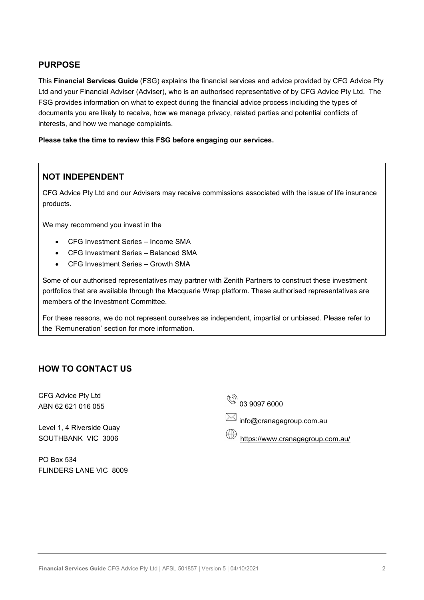# PURPOSE

This Financial Services Guide (FSG) explains the financial services and advice provided by CFG Advice Pty Ltd and your Financial Adviser (Adviser), who is an authorised representative of by CFG Advice Pty Ltd. The FSG provides information on what to expect during the financial advice process including the types of documents you are likely to receive, how we manage privacy, related parties and potential conflicts of interests, and how we manage complaints.

Please take the time to review this FSG before engaging our services.

# NOT INDEPENDENT

CFG Advice Pty Ltd and our Advisers may receive commissions associated with the issue of life insurance products.

We may recommend you invest in the

- CFG Investment Series Income SMA
- CFG Investment Series Balanced SMA
- CFG Investment Series Growth SMA

Some of our authorised representatives may partner with Zenith Partners to construct these investment portfolios that are available through the Macquarie Wrap platform. These authorised representatives are members of the Investment Committee.

For these reasons, we do not represent ourselves as independent, impartial or unbiased. Please refer to the 'Remuneration' section for more information.

## HOW TO CONTACT US

CFG Advice Pty Ltd ABN 62 621 016 055

Level 1, 4 Riverside Quay SOUTHBANK VIC 3006

PO Box 534 FLINDERS LANE VIC 8009  $\mathbb{Z}_{2}$  u3 8001 6000

info@cranagegroup.com.au

https://www.cranagegroup.com.au/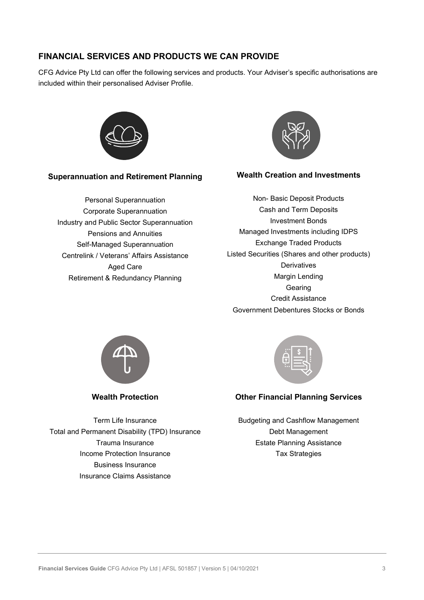# FINANCIAL SERVICES AND PRODUCTS WE CAN PROVIDE

CFG Advice Pty Ltd can offer the following services and products. Your Adviser's specific authorisations are included within their personalised Adviser Profile.



#### Superannuation and Retirement Planning

Personal Superannuation Corporate Superannuation Industry and Public Sector Superannuation Pensions and Annuities Self-Managed Superannuation Centrelink / Veterans' Affairs Assistance Aged Care Retirement & Redundancy Planning



#### Wealth Creation and Investments

Non- Basic Deposit Products Cash and Term Deposits Investment Bonds Managed Investments including IDPS Exchange Traded Products Listed Securities (Shares and other products) **Derivatives** Margin Lending **Gearing** Credit Assistance Government Debentures Stocks or Bonds



Wealth Protection

Term Life Insurance Total and Permanent Disability (TPD) Insurance Trauma Insurance Income Protection Insurance Business Insurance Insurance Claims Assistance



## Other Financial Planning Services

Budgeting and Cashflow Management Debt Management Estate Planning Assistance Tax Strategies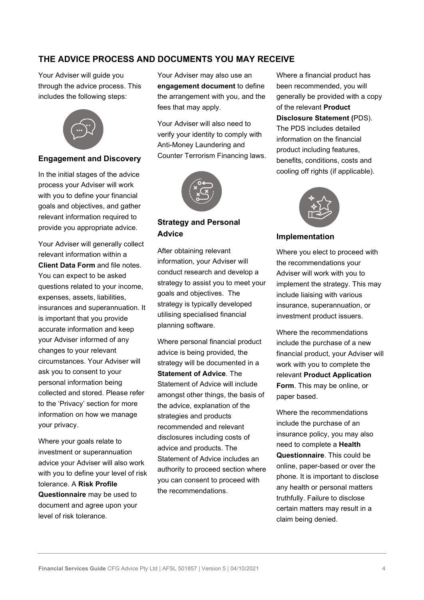# THE ADVICE PROCESS AND DOCUMENTS YOU MAY RECEIVE

Your Adviser will guide you through the advice process. This includes the following steps:



#### Engagement and Discovery

In the initial stages of the advice process your Adviser will work with you to define your financial goals and objectives, and gather relevant information required to provide you appropriate advice.

Your Adviser will generally collect relevant information within a Client Data Form and file notes. You can expect to be asked questions related to your income, expenses, assets, liabilities, insurances and superannuation. It is important that you provide accurate information and keep your Adviser informed of any changes to your relevant circumstances. Your Adviser will ask you to consent to your personal information being collected and stored. Please refer to the 'Privacy' section for more information on how we manage your privacy.

Where your goals relate to investment or superannuation advice your Adviser will also work with you to define your level of risk tolerance. A Risk Profile Questionnaire may be used to document and agree upon your level of risk tolerance.

Your Adviser may also use an engagement document to define the arrangement with you, and the fees that may apply.

Your Adviser will also need to verify your identity to comply with Anti-Money Laundering and Counter Terrorism Financing laws.



# Strategy and Personal Advice

After obtaining relevant information, your Adviser will conduct research and develop a strategy to assist you to meet your goals and objectives. The strategy is typically developed utilising specialised financial planning software.

Where personal financial product advice is being provided, the strategy will be documented in a Statement of Advice. The Statement of Advice will include amongst other things, the basis of the advice, explanation of the strategies and products recommended and relevant disclosures including costs of advice and products. The Statement of Advice includes an authority to proceed section where you can consent to proceed with the recommendations.

Where a financial product has been recommended, you will generally be provided with a copy of the relevant Product Disclosure Statement (PDS). The PDS includes detailed information on the financial product including features, benefits, conditions, costs and cooling off rights (if applicable).



#### Implementation

Where you elect to proceed with the recommendations your Adviser will work with you to implement the strategy. This may include liaising with various insurance, superannuation, or investment product issuers.

Where the recommendations include the purchase of a new financial product, your Adviser will work with you to complete the relevant Product Application Form. This may be online, or paper based.

Where the recommendations include the purchase of an insurance policy, you may also need to complete a Health Questionnaire. This could be online, paper-based or over the phone. It is important to disclose any health or personal matters truthfully. Failure to disclose certain matters may result in a claim being denied.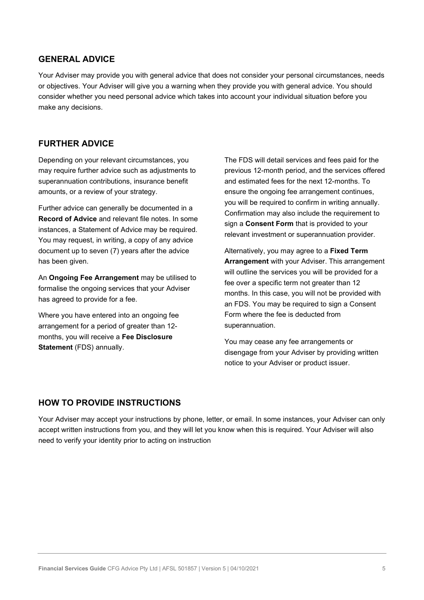## GENERAL ADVICE

Your Adviser may provide you with general advice that does not consider your personal circumstances, needs or objectives. Your Adviser will give you a warning when they provide you with general advice. You should consider whether you need personal advice which takes into account your individual situation before you make any decisions.

#### FURTHER ADVICE

Depending on your relevant circumstances, you may require further advice such as adjustments to superannuation contributions, insurance benefit amounts, or a review of your strategy.

Further advice can generally be documented in a Record of Advice and relevant file notes. In some instances, a Statement of Advice may be required. You may request, in writing, a copy of any advice document up to seven (7) years after the advice has been given.

An **Ongoing Fee Arrangement** may be utilised to formalise the ongoing services that your Adviser has agreed to provide for a fee.

Where you have entered into an ongoing fee arrangement for a period of greater than 12 months, you will receive a Fee Disclosure Statement (FDS) annually.

The FDS will detail services and fees paid for the previous 12-month period, and the services offered and estimated fees for the next 12-months. To ensure the ongoing fee arrangement continues, you will be required to confirm in writing annually. Confirmation may also include the requirement to sign a Consent Form that is provided to your relevant investment or superannuation provider.

Alternatively, you may agree to a Fixed Term Arrangement with your Adviser. This arrangement will outline the services you will be provided for a fee over a specific term not greater than 12 months. In this case, you will not be provided with an FDS. You may be required to sign a Consent Form where the fee is deducted from superannuation.

You may cease any fee arrangements or disengage from your Adviser by providing written notice to your Adviser or product issuer.

#### HOW TO PROVIDE INSTRUCTIONS

Your Adviser may accept your instructions by phone, letter, or email. In some instances, your Adviser can only accept written instructions from you, and they will let you know when this is required. Your Adviser will also need to verify your identity prior to acting on instruction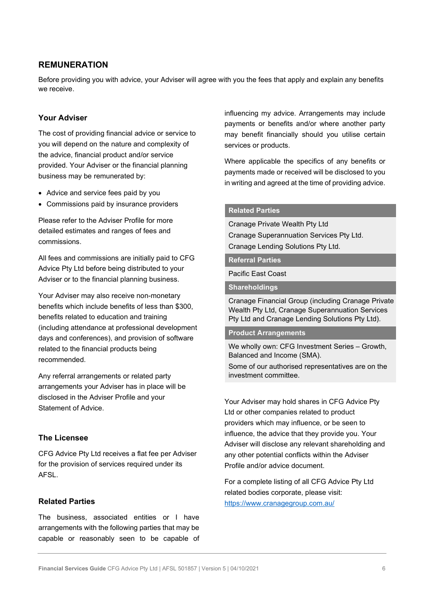## REMUNERATION

Before providing you with advice, your Adviser will agree with you the fees that apply and explain any benefits we receive.

#### Your Adviser

The cost of providing financial advice or service to you will depend on the nature and complexity of the advice, financial product and/or service provided. Your Adviser or the financial planning business may be remunerated by:

- Advice and service fees paid by you
- Commissions paid by insurance providers

Please refer to the Adviser Profile for more detailed estimates and ranges of fees and commissions.

All fees and commissions are initially paid to CFG Advice Pty Ltd before being distributed to your Adviser or to the financial planning business.

Your Adviser may also receive non-monetary benefits which include benefits of less than \$300, benefits related to education and training (including attendance at professional development days and conferences), and provision of software related to the financial products being recommended.

Any referral arrangements or related party arrangements your Adviser has in place will be disclosed in the Adviser Profile and your Statement of Advice.

#### The Licensee

CFG Advice Pty Ltd receives a flat fee per Adviser for the provision of services required under its AFSL.

#### Related Parties

The business, associated entities or I have arrangements with the following parties that may be capable or reasonably seen to be capable of influencing my advice. Arrangements may include payments or benefits and/or where another party may benefit financially should you utilise certain services or products.

Where applicable the specifics of any benefits or payments made or received will be disclosed to you in writing and agreed at the time of providing advice.

#### Related Parties

Cranage Private Wealth Pty Ltd Cranage Superannuation Services Pty Ltd. Cranage Lending Solutions Pty Ltd.

#### Referral Parties

Pacific East Coast

**Shareholdings** 

Cranage Financial Group (including Cranage Private Wealth Pty Ltd, Cranage Superannuation Services Pty Ltd and Cranage Lending Solutions Pty Ltd).

#### Product Arrangements

We wholly own: CFG Investment Series – Growth, Balanced and Income (SMA).

Some of our authorised representatives are on the investment committee.

Your Adviser may hold shares in CFG Advice Pty Ltd or other companies related to product providers which may influence, or be seen to influence, the advice that they provide you. Your Adviser will disclose any relevant shareholding and any other potential conflicts within the Adviser Profile and/or advice document.

For a complete listing of all CFG Advice Pty Ltd related bodies corporate, please visit: https://www.cranagegroup.com.au/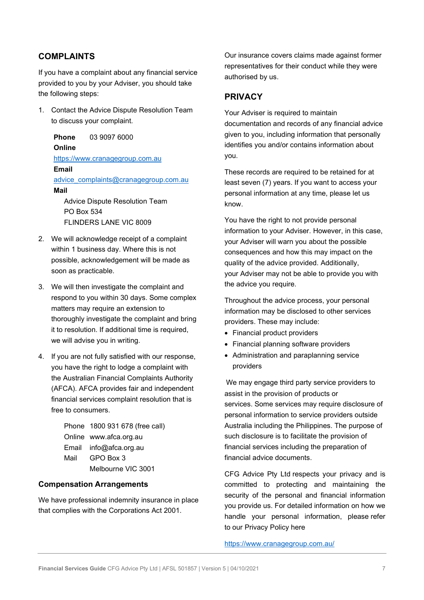# COMPLAINTS

If you have a complaint about any financial service provided to you by your Adviser, you should take the following steps:

1. Contact the Advice Dispute Resolution Team to discuss your complaint.

Phone 03 9097 6000 **Online** https://www.cranagegroup.com.au Email advice\_complaints@cranagegroup.com.au Mail Advice Dispute Resolution Team PO Box 534

FLINDERS LANE VIC 8009

- 2. We will acknowledge receipt of a complaint within 1 business day. Where this is not possible, acknowledgement will be made as soon as practicable.
- 3. We will then investigate the complaint and respond to you within 30 days. Some complex matters may require an extension to thoroughly investigate the complaint and bring it to resolution. If additional time is required, we will advise you in writing.
- 4. If you are not fully satisfied with our response, you have the right to lodge a complaint with the Australian Financial Complaints Authority (AFCA). AFCA provides fair and independent financial services complaint resolution that is free to consumers.

|      | Phone 1800 931 678 (free call) |  |
|------|--------------------------------|--|
|      | Online www.afca.org.au         |  |
|      | Email info@afca.org.au         |  |
| Mail | GPO Box 3                      |  |
|      | Melbourne VIC 3001             |  |

#### Compensation Arrangements

We have professional indemnity insurance in place that complies with the Corporations Act 2001.

Our insurance covers claims made against former representatives for their conduct while they were authorised by us.

#### PRIVACY

Your Adviser is required to maintain documentation and records of any financial advice given to you, including information that personally identifies you and/or contains information about you.

These records are required to be retained for at least seven (7) years. If you want to access your personal information at any time, please let us know.

You have the right to not provide personal information to your Adviser. However, in this case, your Adviser will warn you about the possible consequences and how this may impact on the quality of the advice provided. Additionally, your Adviser may not be able to provide you with the advice you require.

Throughout the advice process, your personal information may be disclosed to other services providers. These may include:

- Financial product providers
- Financial planning software providers
- Administration and paraplanning service providers

We may engage third party service providers to assist in the provision of products or services. Some services may require disclosure of personal information to service providers outside Australia including the Philippines. The purpose of such disclosure is to facilitate the provision of financial services including the preparation of financial advice documents.

CFG Advice Pty Ltd respects your privacy and is committed to protecting and maintaining the security of the personal and financial information you provide us. For detailed information on how we handle your personal information, please refer to our Privacy Policy here

#### https://www.cranagegroup.com.au/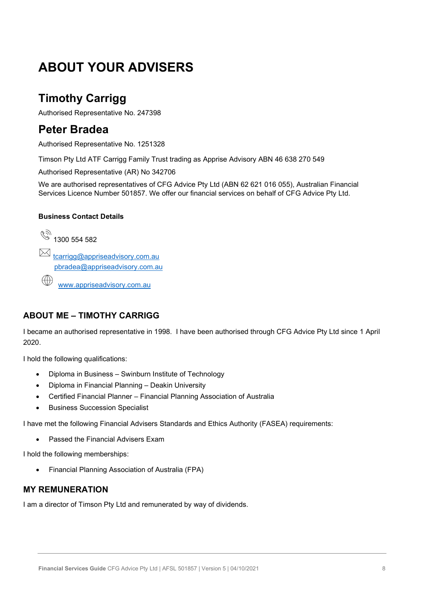# ABOUT YOUR ADVISERS

# Timothy Carrigg

Authorised Representative No. 247398

# Peter Bradea

Authorised Representative No. 1251328

Timson Pty Ltd ATF Carrigg Family Trust trading as Apprise Advisory ABN 46 638 270 549

Authorised Representative (AR) No 342706

We are authorised representatives of CFG Advice Pty Ltd (ABN 62 621 016 055), Australian Financial Services Licence Number 501857. We offer our financial services on behalf of CFG Advice Pty Ltd.

#### Business Contact Details

 $\frac{1}{2}$  1300 554 582  $\boxtimes$  tcarrigg@appriseadvisory.com.au pbradea@appriseadvisory.com.au  $\bigoplus$ www.appriseadvisory.com.au

# ABOUT ME – TIMOTHY CARRIGG

I became an authorised representative in 1998. I have been authorised through CFG Advice Pty Ltd since 1 April 2020.

I hold the following qualifications:

- Diploma in Business Swinburn Institute of Technology
- Diploma in Financial Planning Deakin University
- Certified Financial Planner Financial Planning Association of Australia
- Business Succession Specialist

I have met the following Financial Advisers Standards and Ethics Authority (FASEA) requirements:

• Passed the Financial Advisers Exam

I hold the following memberships:

Financial Planning Association of Australia (FPA)

# MY REMUNERATION

I am a director of Timson Pty Ltd and remunerated by way of dividends.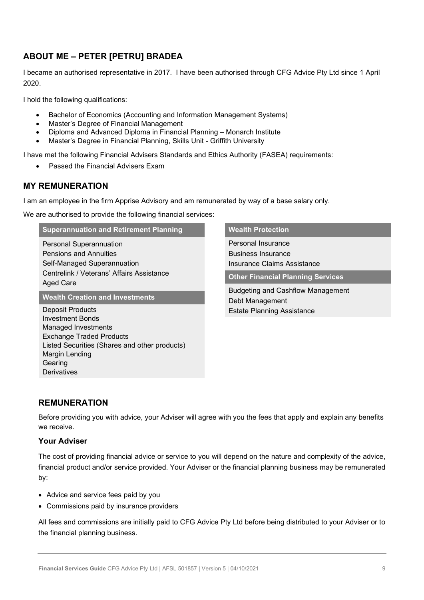# ABOUT ME – PETER [PETRU] BRADEA

I became an authorised representative in 2017. I have been authorised through CFG Advice Pty Ltd since 1 April 2020.

I hold the following qualifications:

- Bachelor of Economics (Accounting and Information Management Systems)
- Master's Degree of Financial Management
- Diploma and Advanced Diploma in Financial Planning Monarch Institute
- Master's Degree in Financial Planning, Skills Unit Griffith University

I have met the following Financial Advisers Standards and Ethics Authority (FASEA) requirements:

Passed the Financial Advisers Exam

# MY REMUNERATION

I am an employee in the firm Apprise Advisory and am remunerated by way of a base salary only.

We are authorised to provide the following financial services:

#### Superannuation and Retirement Planning

Personal Superannuation Pensions and Annuities Self-Managed Superannuation Centrelink / Veterans' Affairs Assistance Aged Care

Wealth Creation and Investments

Deposit Products Investment Bonds Managed Investments Exchange Traded Products Listed Securities (Shares and other products) Margin Lending Gearing **Derivatives** 

#### Wealth Protection

Personal Insurance Business Insurance Insurance Claims Assistance

Other Financial Planning Services

Budgeting and Cashflow Management Debt Management Estate Planning Assistance

# REMUNERATION

Before providing you with advice, your Adviser will agree with you the fees that apply and explain any benefits we receive.

#### Your Adviser

The cost of providing financial advice or service to you will depend on the nature and complexity of the advice, financial product and/or service provided. Your Adviser or the financial planning business may be remunerated by:

- Advice and service fees paid by you
- Commissions paid by insurance providers

All fees and commissions are initially paid to CFG Advice Pty Ltd before being distributed to your Adviser or to the financial planning business.